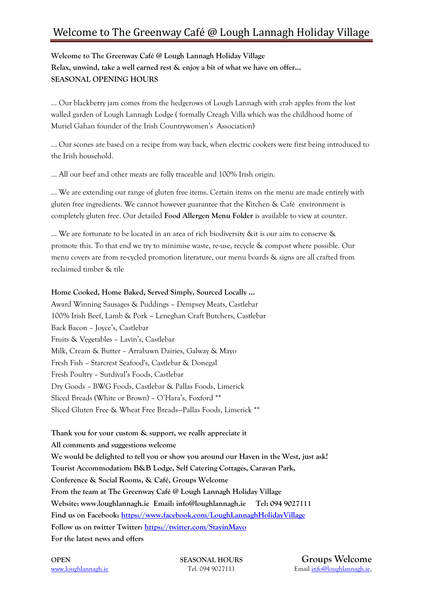## Welcome to The Greenway Café @ Lough Lannagh Holiday Village

#### **Welcome to The Greenway Café @ Lough Lannagh Holiday Village Relax, unwind, take a well earned rest & enjoy a bit of what we have on offer… SEASONAL OPENING HOURS**

… Our blackberry jam comes from the hedgerows of Lough Lannagh with crab apples from the lost walled garden of Lough Lannagh Lodge ( formally Creagh Villa which was the childhood home of Muriel Gahan founder of the Irish Countrywomen's Association)

… Our scones are based on a recipe from way back, when electric cookers were first being introduced to the Irish household.

… All our beef and other meats are fully traceable and 100% Irish origin.

… We are extending our range of gluten free items. Certain items on the menu are made entirely with gluten free ingredients. We cannot however guarantee that the Kitchen & Café environment is completely gluten free. Our detailed **Food Allergen Menu Folder** is available to view at counter.

… We are fortunate to be located in an area of rich biodiversity &it is our aim to conserve & promote this. To that end we try to minimise waste, re-use, recycle & compost where possible. Our menu covers are from re-cycled promotion literature, our menu boards & signs are all crafted from reclaimed timber & tile

#### **Home Cooked, Home Baked, Served Simply, Sourced Locally …**

Award Winning Sausages & Puddings – Dempsey Meats, Castlebar 100% Irish Beef, Lamb & Pork – Leneghan Craft Butchers, Castlebar Back Bacon – Joyce's, Castlebar Fruits & Vegetables – Lavin's, Castlebar Milk, Cream & Butter – Arrabawn Dairies, Galway & Mayo Fresh Fish – Starcrest Seafood's, Castlebar & Donegal Fresh Poultry – Surdival's Foods, Castlebar Dry Goods – BWG Foods, Castlebar & Pallas Foods, Limerick Sliced Breads (White or Brown) – O'Hara's, Foxford \*\* Sliced Gluten Free & Wheat Free Breads—Pallas Foods, Limerick \*\*

**Thank you for your custom & support, we really appreciate it All comments and suggestions welcome We would be delighted to tell you or show you around our Haven in the West, just ask! Tourist Accommodation: B&B Lodge, Self Catering Cottages, Caravan Park, Conference & Social Rooms, & Café, Groups Welcome From the team at The Greenway Café @ Lough Lannagh Holiday Village Website: www.loughlannagh.ie Email: info@loughlannagh.ie Tel: 094 9027111 Find us on Facebook:<https://www.facebook.com/LoughLannaghHolidayVillage> Follow us on twitter Twitter:<https://twitter.com/StayinMayo> For the latest news and offers**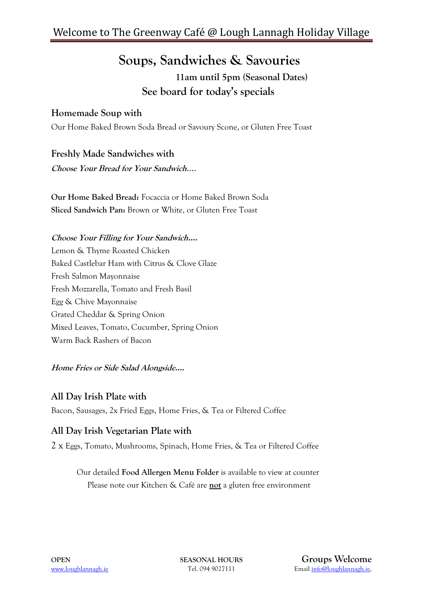## **Soups, Sandwiches & Savouries 11am until 5pm (Seasonal Dates) See board for today's specials**

### **Homemade Soup with**

Our Home Baked Brown Soda Bread or Savoury Scone, or Gluten Free Toast

**Freshly Made Sandwiches with** 

**Choose Your Bread for Your Sandwich**….

**Our Home Baked Bread:** Focaccia or Home Baked Brown Soda **Sliced Sandwich Pan:** Brown or White, or Gluten Free Toast

#### **Choose Your Filling for Your Sandwich….**

Lemon & Thyme Roasted Chicken Baked Castlebar Ham with Citrus & Clove Glaze Fresh Salmon Mayonnaise Fresh Mozzarella, Tomato and Fresh Basil Egg & Chive Mayonnaise Grated Cheddar & Spring Onion Mixed Leaves, Tomato, Cucumber, Spring Onion Warm Back Rashers of Bacon

**Home Fries or Side Salad Alongside….**

#### **All Day Irish Plate with**

Bacon, Sausages, 2x Fried Eggs, Home Fries, & Tea or Filtered Coffee

### **All Day Irish Vegetarian Plate with**

2 x Eggs, Tomato, Mushrooms, Spinach, Home Fries, & Tea or Filtered Coffee

 Our detailed **Food Allergen Menu Folder** is available to view at counter Please note our Kitchen & Café are **not** a gluten free environment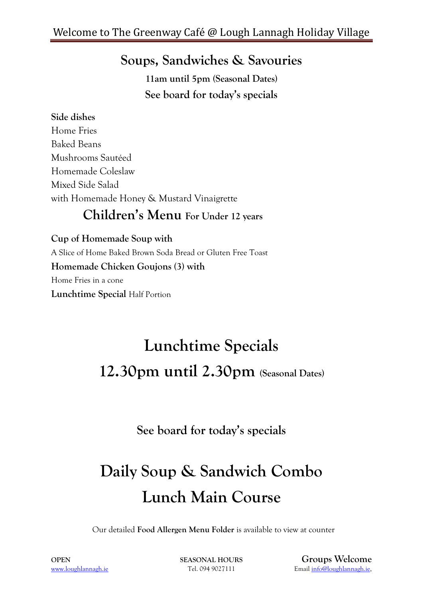# **Soups, Sandwiches & Savouries**

**11am until 5pm (Seasonal Dates) See board for today's specials**

### **Side dishes**

Home Fries Baked Beans Mushrooms Sautéed Homemade Coleslaw Mixed Side Salad with Homemade Honey & Mustard Vinaigrette

## **Children's Menu For Under 12 years**

**Cup of Homemade Soup with**  A Slice of Home Baked Brown Soda Bread or Gluten Free Toast **Homemade Chicken Goujons (3) with** Home Fries in a cone **Lunchtime Special** Half Portion

# **Lunchtime Specials 12.30pm until 2.30pm (Seasonal Dates)**

**See board for today's specials**

# **Daily Soup & Sandwich Combo Lunch Main Course**

Our detailed **Food Allergen Menu Folder** is available to view at counter

**OPEN SEASONAL HOURS Groups Welcome** [www.loughlannagh.ie](http://www.loughlannagh.ie/) Tel. 094 9027111 Emai[l info@loughlannagh.ie,](mailto:info@loughlannagh.ie)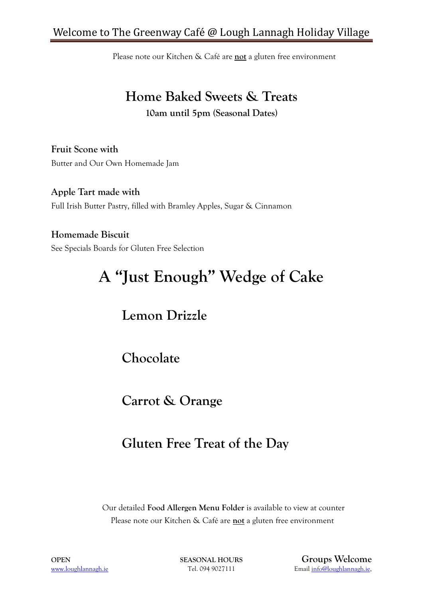### Welcome to The Greenway Café @ Lough Lannagh Holiday Village

Please note our Kitchen & Café are **not** a gluten free environment

# **Home Baked Sweets & Treats**

**10am until 5pm (Seasonal Dates)**

**Fruit Scone with** Butter and Our Own Homemade Jam

**Apple Tart made with**  Full Irish Butter Pastry, filled with Bramley Apples, Sugar & Cinnamon

**Homemade Biscuit**  See Specials Boards for Gluten Free Selection

# **A "Just Enough" Wedge of Cake**

# **Lemon Drizzle**

**Chocolate**

**Carrot & Orange**

## **Gluten Free Treat of the Day**

Our detailed **Food Allergen Menu Folder** is available to view at counter Please note our Kitchen & Café are **not** a gluten free environment

**OPEN SEASONAL HOURS Groups Welcome** [www.loughlannagh.ie](http://www.loughlannagh.ie/) Tel. 094 9027111 Emai[l info@loughlannagh.ie,](mailto:info@loughlannagh.ie)